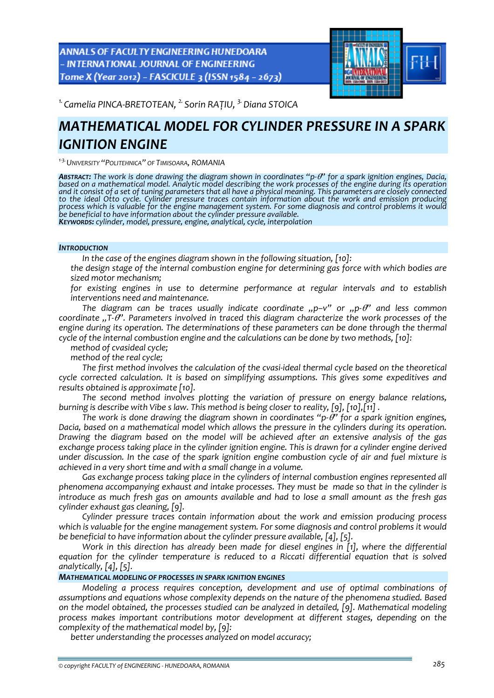**ANNALS OF FACULTY ENGINEERING HUNEDOARA** - INTERNATIONAL JOURNAL OF ENGINEERING Tome X (Year 2012) - FASCICULE 3 (ISSN 1584 - 2673)



*1. Camelia PINCA‐BRETOTEAN, 2. Sorin RAȚIU, 3.Diana STOICA*

# *MATHEMATICAL MODEL FOR CYLINDER PRESSURE IN A SPARK IGNITION ENGINE*

*<sup>1</sup>‐3.UNIVERSITY "POLITEHNICA" OF TIMISOARA, ROMANIA*

**ABSTRACT:** The work is done drawing the diagram shown in coordinates "p- $\theta$ " for a spark ignition engines, Dacia, based on a mathematical model. Analytic model describing the work processes of the engine during its operation<br>and it consist of a set of tuning parameters that all have a physical meaning. This parameters are closely conn *to the ideal Otto cycle. Cylinder pressure traces contain information about the work and emission producing* process which is valuable for the engine management system. For some diagnosis and control problems it would<br>be beneficial to have information about the cylinder pressure available. KEYWORDS: cylinder, model, pressure, engine, analytical, cycle, interpolation

## *INTRODUCTION*

*In the case of the engines diagram shown in the following situation, [10]:* 

 *the design stage of the internal combustion engine for determining gas force with which bodies are sized motor mechanism;*

 *for existing engines in use to determine performance at regular intervals and to establish interventions need and maintenance.*

*The diagram can be traces usually indicate coordinate "p–v" or "p‐*θ*" and less common coordinate "T‐*θ*". Parameters involved in traced this diagram characterize the work processes of the engine during its operation. The determinations of these parameters can be done through the thermal cycle of the internal combustion engine and the calculations can be done by two methods, [10]:*

*method of cvasideal cycle;*

*method of the real cycle;*

*The first method involves the calculation of the cvasi‐ideal thermal cycle based on the theoretical cycle corrected calculation. It is based on simplifying assumptions. This gives some expeditives and results obtained is approximate [10].*

*The second method involves plotting the variation of pressure on energy balance relations, burning is describe with Vibe s law. This method is being closer to reality, [9], [10],[11] .*

*The work is done drawing the diagram shown in coordinates "p‐*θ*" for a spark ignition engines, Dacia, based on a mathematical model which allows the pressure in the cylinders during its operation. Drawing the diagram based on the model will be achieved after an extensive analysis of the gas* exchange process taking place in the cylinder ignition engine. This is drawn for a cylinder engine derived under discussion. In the case of the spark ignition engine combustion cycle of air and fuel mixture is *achieved in a very short time and with a small change in a volume.*

*Gas exchange process taking place in the cylinders of internal combustion engines represented all phenomena accompanying exhaust and intake processes. They must be made so that in the cylinder is* introduce as much fresh gas on amounts available and had to lose a small amount as the fresh gas *cylinder exhaust gas cleaning, [9].*

*Cylinder pressure traces contain information about the work and emission producing process which is valuable for the engine management system. For some diagnosis and control problems it would be beneficial to have information about the cylinder pressure available, [4], [5].*

*Work in this direction has already been made for diesel engines in [1], where the differential equation for the cylinder temperature is reduced to a Riccati differential equation that is solved analytically, [4], [5].*

## *MATHEMATICAL MODELING OF PROCESSES IN SPARK IGNITION ENGINES*

*Modeling a process requires conception, development and use of optimal combinations of assumptions and equations whose complexity depends on the nature of the phenomena studied. Based on the model obtained, the processes studied can be analyzed in detailed, [9]. Mathematical modeling process makes important contributions motor development at different stages, depending on the complexity of the mathematical model by, [9]:*

*better understanding the processes analyzed on model accuracy;*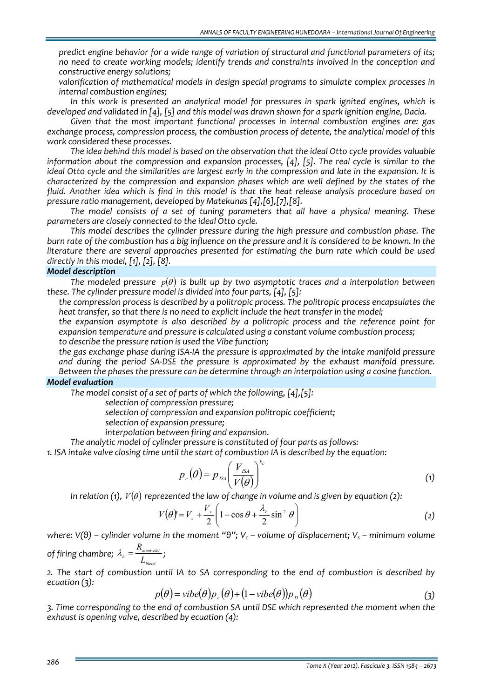*predict engine behavior for a wide range of variation of structural and functional parameters of its; no need to create working models; identify trends and constraints involved in the conception and constructive energy solutions;*

 *valorification of mathematical models in design special programs to simulate complex processes in internal combustion engines;*

*In this work is presented an analytical model for pressures in spark ignited engines, which is* developed and validated in [4]. [5] and this model was drawn shown for a spark ignition engine. Dacia.

*Given that the most important functional processes in internal combustion engines are: gas exchange process, compression process, the combustion process of detente, the analytical model of this work considered these processes.*

*The idea behind this model is based on the observation that the ideal Otto cycle provides valuable information about the compression and expansion processes, [4], [5]. The real cycle is similar to the* ideal Otto cycle and the similarities are largest early in the compression and late in the expansion. It is *characterized by the compression and expansion phases which are well defined by the states of the* fluid. Another idea which is find in this model is that the heat release analysis procedure based on *pressure ratio management, developed by Matekunas [4],[6],[7],[8].* 

*The model consists of a set of tuning parameters that all have a physical meaning. These parameters are closely connected to the ideal Otto cycle.*

*This model describes the cylinder pressure during the high pressure and combustion phase. The* burn rate of the combustion has a big influence on the pressure and it is considered to be known. In the *literature there are several approaches presented for estimating the burn rate which could be used directly in this model, [1], [2], [8].*

# *Model description*

*The modeled pressure p*( ) <sup>θ</sup> *is built up by two asymptotic traces and a interpolation between these. The cylinder pressure model is divided into four parts, [4], [5]:*

 *the compression process is described by a politropic process. The politropic process encapsulates the heat transfer, so that there is no need to explicit include the heat transfer in the model;*

 *the expansion asymptote is also described by a politropic process and the reference point for expansion temperature and pressure is calculated using a constant volume combustion process; to describe the pressure ration is used the Vibe function;*

 *the gas exchange phase during ISA‐IA the pressure is approximated by the intake manifold pressure and during the period SA‐DSE the pressure is approximated by the exhaust manifold pressure. Between the phases the pressure can be determine through an interpolation using a cosine function.*

## *Model evaluation*

*The model consist of a set of parts of which the following, [4],[5]:*

*selection of compression pressure;* 

*selection of compression and expansion politropic coefficient;* 

*selection of expansion pressure;* 

*interpolation between firing and expansion.*

*The analytic model of cylinder pressure is constituted of four parts as follows:*

*1. ISA intake valve closing time until the start of combustion IA is described by the equation:*

$$
p_c(\theta) = p_{\text{ISM}} \left( \frac{V_{\text{ISM}}}{V(\theta)} \right)^{k_c} \tag{1}
$$

*In*  $relation (1)$ ,  $V(\theta)$  reprezented the law of change in volume and is given by equation (2):

$$
V(\theta) = V_c + \frac{V_s}{2} \left( 1 - \cos \theta + \frac{\lambda_b}{2} \sin^2 \theta \right)
$$
 (2)

where:  $V(9)$  – cylinder volume in the moment "9";  $V_c$  – volume of displacement;  $V_s$  – minimum volume *manivelei*  $\lambda_{\scriptscriptstyle b} = \frac{R_{\scriptscriptstyle\textit{manivelei}}}{I}$ ;

of firing chamber; 
$$
\lambda_b = \frac{K_{manivelei}}{L_{belei}}
$$
;

*2. The start of combustion until IA to SA corresponding to the end of combustion is described by ecuation (3):*

$$
p(\theta) = \text{vibe}(\theta) p_c(\theta) + (1 - \text{vibe}(\theta)) p_p(\theta) \tag{3}
$$

*3. Time corresponding to the end of combustion SA until DSE which represented the moment when the exhaust is opening valve, described by ecuation (4):*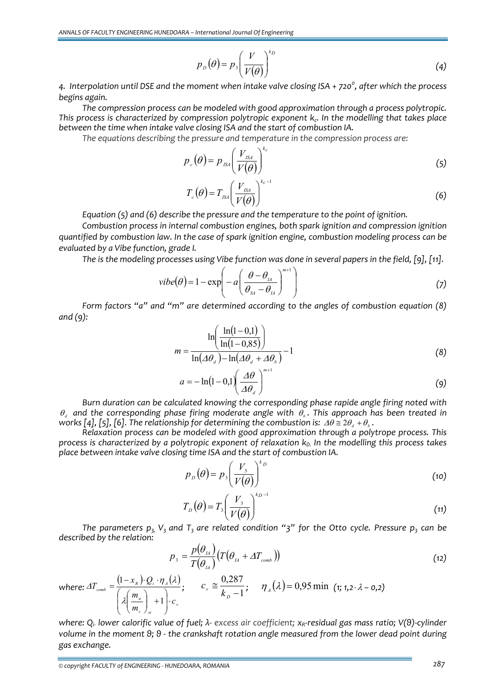$$
p_{D}(\theta) = p_{3} \left(\frac{V}{V(\theta)}\right)^{kp}
$$
 (4)

4. Interpolation until DSE and the moment when intake valve closing ISA + 720 $^{\circ}$ , after which the process *begins again.*

*The compression process can be modeled with good approximation through a process polytropic. This process is characterized by compression polytropic exponent kc. In the modelling that takes place between the time when intake valve closing ISA and the start of combustion IA.*

 $\sqrt{k}$ 

*The equations describing the pressure and temperature in the compression process are:*

$$
p_c(\theta) = p_{\rm \scriptscriptstyle ISA} \left( \frac{V_{\rm \scriptscriptstyle ISA}}{V(\theta)} \right)^{k_c} \tag{5}
$$

$$
T_c(\theta) = T_{\text{ISM}} \left( \frac{V_{\text{ISM}}}{V(\theta)} \right)^{k_c - 1} \tag{6}
$$

*Equation (5) and (6) describe the pressure and the temperature to the point of ignition.*

*Combustion process in internal combustion engines, both spark ignition and compression ignition quantified by combustion law. In the case of spark ignition engine, combustion modeling process can be evaluated by a Vibe function, grade I.*

The is the modeling processes using Vibe function was done in several papers in the field, [9], [11].

$$
vibe(\theta) = 1 - exp\left(-a\left(\frac{\theta - \theta_{1A}}{\theta_{SA} - \theta_{1A}}\right)^{m+1}\right)
$$
\n(7)

*Form factors "a" and "m" are determined according to the angles of combustion equation (8) and (9):*

$$
m = \frac{\ln\left(\frac{\ln(1-0,1)}{\ln(1-0,85)}\right)}{\ln(\Delta\theta_a) - \ln(\Delta\theta_a + \Delta\theta_b)} - 1
$$
\n(8)

$$
a = -\ln(1 - 0.1) \left(\frac{\Delta\theta}{\Delta\theta_d}\right)^{m+1} \tag{9}
$$

*Burn duration can be calculated knowing the corresponding phase rapide angle firing noted with*  $\theta$ , and the corresponding phase firing moderate angle with  $\theta$ . This approach has been treated in *works*  $[4]$ ,  $[5]$ ,  $[6]$ . The relationship for determining the combustion is:  $\Delta\theta \approx 2\theta$ ,  $+\theta$ , *a* 

*Relaxation process can be modeled with good approximation through a polytrope process. This process* is *characterized by a polytropic exponent of relaxation*  $k<sub>D</sub>$ *, In the modelling this process takes place between intake valve closing time ISA and the start of combustion IA.* 

$$
p_{\scriptscriptstyle D}(\theta) = p_{\scriptscriptstyle 3}\left(\frac{V_{\scriptscriptstyle 3}}{V(\theta)}\right)^{k_{\scriptscriptstyle D}}\tag{10}
$$

$$
T_D(\theta) = T_3 \left(\frac{V_3}{V(\theta)}\right)^{k_D - 1} \tag{11}
$$

The parameters  $p_3$ ,  $V_3$  and  $T_3$  are related condition "3" for the Otto cycle. Pressure  $p_3$  can be *described by the relation:*

$$
p_{\scriptscriptstyle 3} = \frac{p(\theta_{\scriptscriptstyle I\hspace{-0.05cm}A})}{T(\theta_{\scriptscriptstyle I\hspace{-0.05cm}A})} \big(T(\theta_{\scriptscriptstyle I\hspace{-0.05cm}A} + \varDelta T_{\scriptscriptstyle comb}\hspace{0.05cm})\big) \tag{12}
$$

 $c_v \approx \frac{6,267}{k_0-1}$ ;  $\eta_A(\lambda) = 0.95$  min  $(\text{1}; 1,2 \cdot \lambda - 0.2)$ 

*where:*  $\varDelta T_{\textit{\tiny comb}} = \frac{(1 - x_{\scriptscriptstyle R}) \cdot Q_{\scriptscriptstyle i} \cdot \eta_{\scriptscriptstyle A}(\lambda)}{(1 - \lambda)^{\scriptscriptstyle O(\lambda)}}$  $\sum_{\text{comb}}^{\infty} = \frac{(1 - \lambda_R) \sum_i \eta_A}{(1 - \lambda)^2}$ *m m*  $T_{comb} = \frac{(1-x_R) \cdot Q}{(1-x_R)^2}$  $\mathsf I$  $\mathsf I$ ⎝  $\big($  $\mid$ ⎝  $\big($  $=\frac{(1-x_R)\cdot Q_i \cdot}{\sqrt{1-\frac{1}{2} \cdot \frac{1}{2} \cdot \frac{1}{2} \cdot \frac{1}{2} \cdot \frac{1}{2} \cdot \frac{1}{2} \cdot \frac{1}{2} \cdot \frac{1}{2} \cdot \frac{1}{2} \cdot \frac{1}{2} \cdot \frac{1}{2} \cdot \frac{1}{2} \cdot \frac{1}{2} \cdot \frac{1}{2} \cdot \frac{1}{2} \cdot \frac{1}{2} \cdot \frac{1}{2} \cdot \frac{1}{2} \cdot \frac{1}{2} \cdot \frac{1}{2} \cdot \frac{1}{2} \cdot \frac{1}{2} \cdot \frac{1}{$  $\left( \frac{1}{2} \right)$  $\varDelta T_{\textit{\tiny comb}} = \frac{\left(1 - x_{\scriptscriptstyle R}\right) \cdot Q_{\scriptscriptstyle i} \cdot \eta_{\scriptscriptstyle A}(\lambda)}{\left(\varlambda \left(\frac{m_{\scriptscriptstyle a}}{n_{\scriptscriptstyle a}}\right)_{\scriptscriptstyle 1} + 1\right) \cdot c}, \qquad c_{\scriptscriptstyle v} \equiv \frac{0.287}{k_{\scriptscriptstyle D}-1}$ 

where:  $Q_i$  lower calorific value of fuel;  $\lambda$ - excess air coefficient;  $x_R$ -residual gas mass ratio;  $V(9)$ -cylinder volume in the moment 9; 9 - the crankshaft rotation angle measured from the lower dead point during *gas exchange.*

*st c a*

 $\vert +$ ⎠ ⎞

*v*

*c*

 $\| \cdot \|$  $\overline{a}$ ⎠

⎞

1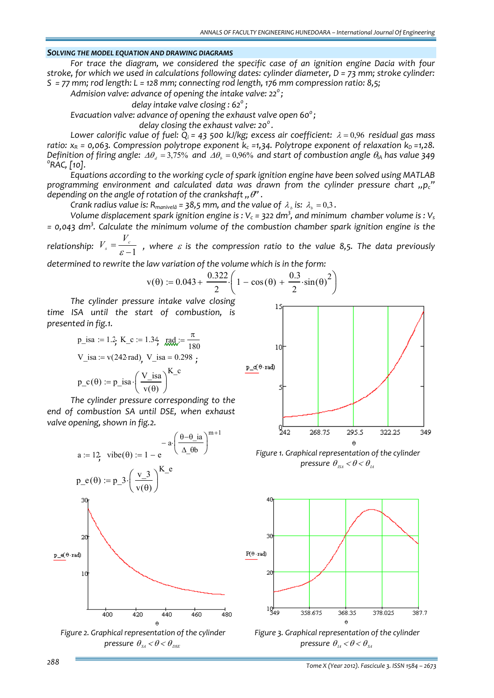#### *SOLVING THE MODEL EQUATION AND DRAWING DIAGRAMS*

*For trace the diagram, we considered the specific case of an ignition engine Dacia with four stroke, for which we used in calculations following dates: cylinder diameter, D = 73 mm; stroke cylinder:* S = 77 mm; rod length: L = 128 mm; connecting rod length, 176 mm compression ratio: 8,5;

*Admision valve: advance of opening the intake valve: 220 ;* 

 *delay intake valve closing : 620 ;* 

*Evacuation valve: advance of opening the exhaust valve open 60<sup>0</sup> ;*

 *delay closing the exhaust valve: 20<sup>0</sup> .* 

*Lower calorific value of fuel:*  $Q_i$  = 43 500 *kJ/kg; excess air coefficient:*  $\lambda$  = 0,96 *residual gas mass ratio:*  $x_R$  = 0,063. Compression polytrope exponent  $k_c$  =1,34. Polytrope exponent of relaxation  $k_D$  =1,28. Definition of firing angle:  $\Delta\theta_a = 3.75\%$  and  $\Delta\theta_b = 0.96\%$  and start of combustion angle  $\theta_A$  has value 349 *RAC, [10].*

*Equations according to the working cycle of spark ignition engine have been solved using MATLAB programming environment and calculated data was drawn from the cylinder pressure chart "pc" depending on* the *angle of rotation of* the *crankshaft*  $\theta$ .

*Crank radius value is:*  $R_{manive\delta\delta} = 38.5$  *mm,* and the *value* of  $\lambda_{\delta}$  *is:*  $\lambda_{\delta} = 0.3$ .

Volume displacement spark ignition engine is : V $_{\rm c}$  = 322 dm<sup>3</sup>, and minimum  $\,$ chamber volume is : V $_{\rm s}$ *= 0,043 dm<sup>3</sup> . Calculate the minimum volume of the combustion chamber spark ignition engine is the*

*relationship:*  $V_s = \frac{V_c}{\varepsilon - 1}$  $V_s = \frac{V_c}{g_s - 1}$ , where  $\varepsilon$  is the compression ratio to the value 8,5. The data previously *determined to rewrite the law variation of the volume which is in the form:*

$$
v(\theta) := 0.043 + \frac{0.322}{2} \left( 1 - \cos(\theta) + \frac{0.3}{2} \cdot \sin(\theta)^2 \right)
$$

*The cylinder pressure intake valve closing time ISA until the start of combustion, is presented in fig.1.*

p\_isa := 1.2; K\_c := 1.34; rad = 
$$
\frac{\pi}{180}
$$
  
V\_isa := v(242 rad), V\_isa = 0.298 ;  
p\_c(θ) := p\_isa \cdot \left(\frac{V\_isa}{v(\theta)}\right)^{K\_c}

*The cylinder pressure corresponding to the end of combustion SA until DSE, when exhaust valve opening, shown in fig.2.*







*Figure 1. Graphical representation of the cylinder pressure*  $\theta_{\scriptscriptstyle{IS4}} < \theta < \theta_{\scriptscriptstyle{IA}}$ 



*Figure 3. Graphical representation of the cylinder pressure*  $\theta_{\scriptscriptstyle{I4}} < \theta < \theta_{\scriptscriptstyle{S4}}$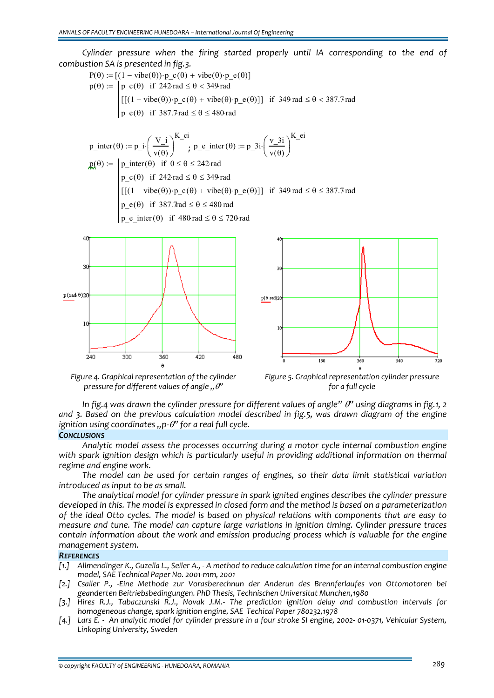*Cylinder pressure when the firing started properly until IA corresponding to the end of combustion SA is presented in fig.3.*

$$
P(\theta) := \begin{bmatrix} (1 - \text{vibe}(\theta)) \cdot p_c(\theta) + \text{vibe}(\theta) \cdot p_e(\theta) \\ p(\theta) := \begin{cases} p_c(\theta) & \text{if } 242 \text{ rad } \le \theta < 349 \text{ rad} \\ \left[ (1 - \text{vibe}(\theta)) \cdot p_c(\theta) + \text{vibe}(\theta) \cdot p_e(\theta) \right] \right] & \text{if } 349 \text{ rad } \le \theta < 387.7 \text{ rad} \\ p_e(\theta) & \text{if } 387.7 \text{ rad } \le \theta \le 480 \text{ rad} \end{cases}
$$

$$
p\_inter(\theta) := p\_i \cdot \left(\frac{V\_i}{v(\theta)}\right)^{K\_ci}; \ p\_e\_inter(\theta) := p\_3i \cdot \left(\frac{v\_3i}{v(\theta)}\right)^{K\_ei}
$$
\n
$$
p \leftarrow p\_inter(\theta) \text{ if } 0 \le \theta \le 242 \text{ rad}
$$
\n
$$
p\_c(\theta) \text{ if } 242 \text{ rad} \le \theta \le 349 \text{ rad}
$$
\n
$$
[[(1 - vibe(\theta)) \cdot p\_c(\theta) + vibe(\theta) \cdot p\_e(\theta)]] \text{ if } 349 \text{ rad} \le \theta \le 387.7 \text{ rad}
$$
\n
$$
p\_e(\theta) \text{ if } 387.7 \text{ rad} \le \theta \le 480 \text{ rad}
$$
\n
$$
p \text{ e } inter(\theta) \text{ if } 480 \text{ rad} \le \theta \le 720 \text{ rad}
$$





*Figure 4. Graphical representation of the cylinder pressure for different values of angle "*θ*"*



In fig.4 was drawn the cylinder pressure for different values of angle"  $\theta$ " using diagrams in fig.1, 2 *and 3. Based on the previous calculation model described in fig.5, was drawn diagram of the engine ignition using coordinates "p-* $\theta$  *for a real full cycle.* 

#### *CONCLUSIONS*

*Analytic model assess the processes occurring during a motor cycle internal combustion engine with spark ignition design which is particularly useful in providing additional information on thermal regime and engine work.* 

*The model can be used for certain ranges of engines, so their data limit statistical variation introduced as input to be as small.*

*The analytical model for cylinder pressure in spark ignited engines describes the cylinder pressure* developed in this. The model is expressed in closed form and the method is based on a parameterization of the ideal Otto cycles. The model is based on physical relations with components that are easy to *measure and tune. The model can capture large variations in ignition timing. Cylinder pressure traces contain information about the work and emission producing process which is valuable for the engine management system.*

#### *REFERENCES*

- [1.] Allmendinger K., Guzella L., Seiler A., A method to reduce calculation time for an internal combustion engine *model, SAE Technical Paper No. 2001‐mm, 2001*
- *[2.] Csaller P., ‐Eine Methode zur Vorasberechnun der Anderun des Brennferlaufes von Ottomotoren bei geanderten Beitriebsbedingungen. PhD Thesis, Technischen Universitat Munchen,1980*
- *[3.] Hires R.J., Tabaczunski R.J., Novak J.M.‐ The prediction ignition delay and combustion intervals for homogeneous change, spark ignition engine, SAE Techical Paper 780232,1978*
- [4.] Lars E. An analytic model for cylinder pressure in a four stroke SI engine, 2002-01-0371, Vehicular System, *Linkoping University, Sweden*